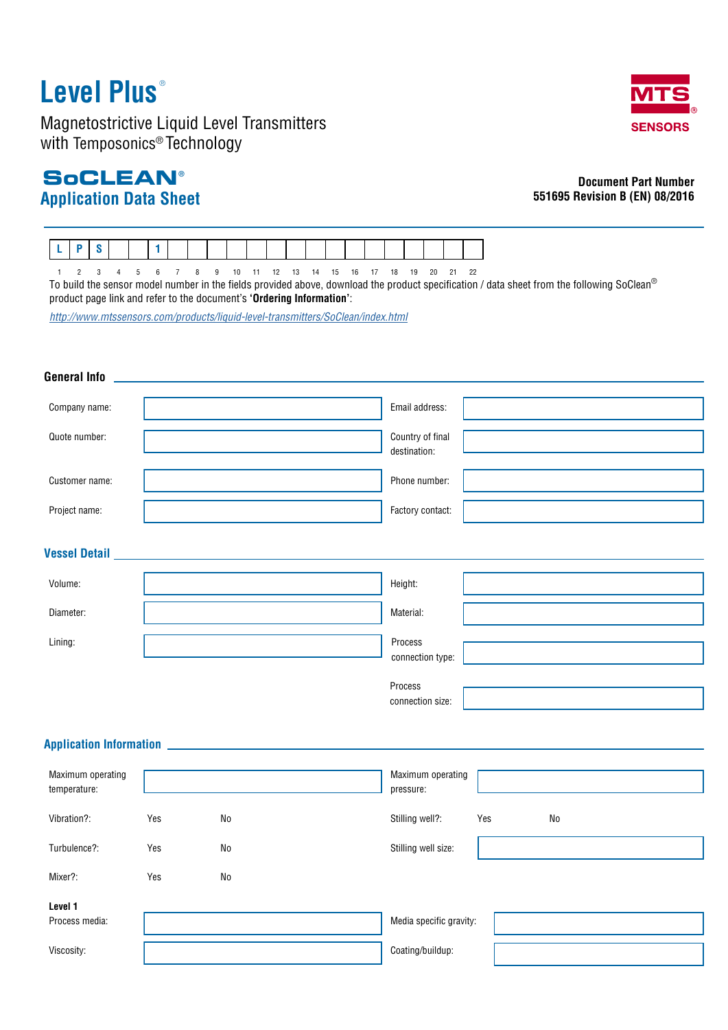# **Level Plus** ®

Magnetostrictive Liquid Level Transmitters with Temposonics® Technology

### **Application Data Sheet SoCLEAN®**



### **Document Part Number 551695 Revision B (EN) 08/2016**



1 2 3 4 5 6 7 8 9 10 11 12 13 14 15 16 17 18 19 20 21 22 To build the sensor model number in the fields provided above, download the product specification / data sheet from the following SoClean®

product page link and refer to the document's **'Ordering Information'**:

*<http://www.mtssensors.com/products/liquid-level-transmitters/SoClean/index.html>*

### **General Info** Company name: and the company name: a company name: a company name of the company name of the company name of the company of the company of the company of the company of the company of the company of the company of the com Quote number:  $\sqrt{2\pi}$ destination: Customer name: Phone number: Project name: **Factory contact:** Factory contact: **Vessel Detail** Volume: Height: Diameter: Material: Lining: **Application Information** Maximum operating temperature: Maximum operating pressure: Vibration?: Stilling well?: Yes No Yes No Turbulence?: Turbulence?: Stilling well size: Mixer?: Yes Yes No **Level 1** Process media:  $\blacksquare$ Viscosity: and the coating/buildup: Process connection size: Process connection type: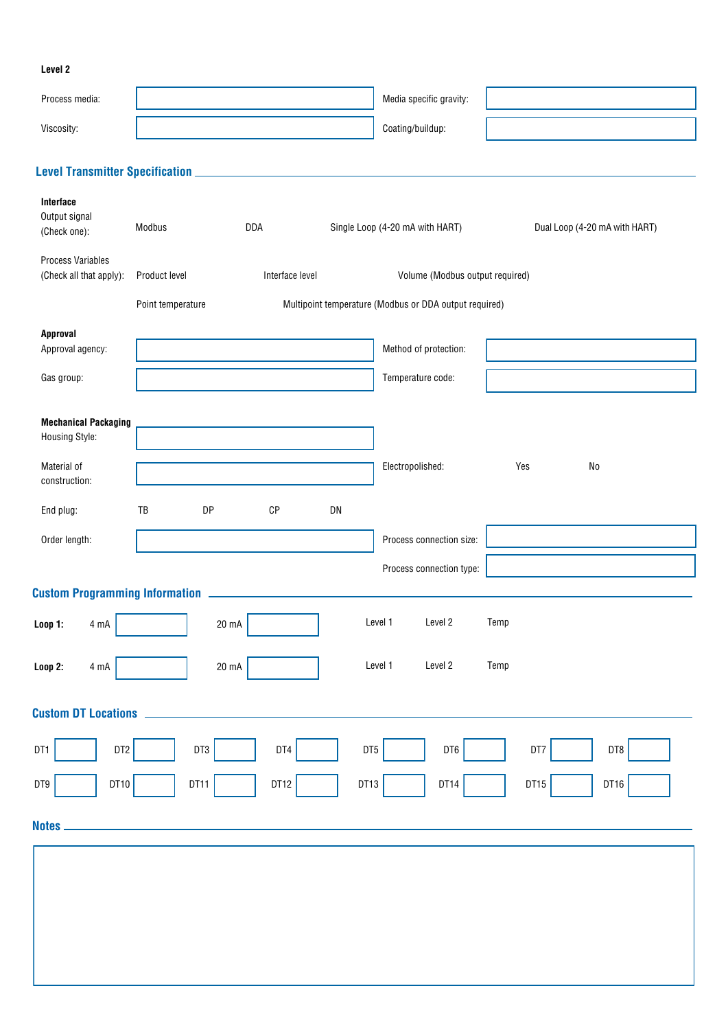| Process media:                                                                                                                 |                                               |                 |                 |    | Media specific gravity:                                |                               |  |
|--------------------------------------------------------------------------------------------------------------------------------|-----------------------------------------------|-----------------|-----------------|----|--------------------------------------------------------|-------------------------------|--|
| Viscosity:                                                                                                                     |                                               |                 |                 |    | Coating/buildup:                                       |                               |  |
|                                                                                                                                |                                               |                 |                 |    |                                                        |                               |  |
|                                                                                                                                |                                               |                 |                 |    |                                                        |                               |  |
| Interface<br>Output signal<br>(Check one):                                                                                     | Modbus                                        | DDA             |                 |    | Single Loop (4-20 mA with HART)                        | Dual Loop (4-20 mA with HART) |  |
| <b>Process Variables</b><br>(Check all that apply):                                                                            | Product level                                 |                 | Interface level |    | Volume (Modbus output required)                        |                               |  |
|                                                                                                                                | Point temperature                             |                 |                 |    | Multipoint temperature (Modbus or DDA output required) |                               |  |
| Approval<br>Approval agency:                                                                                                   |                                               |                 |                 |    | Method of protection:                                  |                               |  |
| Gas group:                                                                                                                     |                                               |                 |                 |    | Temperature code:                                      |                               |  |
| <b>Mechanical Packaging</b><br>Housing Style:<br>Material of                                                                   |                                               |                 |                 |    | Electropolished:                                       | Yes<br>No                     |  |
| construction:                                                                                                                  |                                               |                 |                 |    |                                                        |                               |  |
| End plug:                                                                                                                      | TB                                            | DP              | CP              | DN |                                                        |                               |  |
| Order length:                                                                                                                  |                                               |                 |                 |    | Process connection size:                               |                               |  |
|                                                                                                                                |                                               |                 |                 |    | Process connection type:                               |                               |  |
| Custom Programming Information <b>Custom Programming Information</b><br>Level 1<br>Level 2<br>Temp<br>20 mA<br>Loop 1:<br>4 mA |                                               |                 |                 |    |                                                        |                               |  |
| Loop 2:<br>$4 \text{ mA}$                                                                                                      |                                               | $20 \text{ mA}$ |                 |    | Level 1<br>Level 2                                     | Temp                          |  |
| <b>Custom DT Locations</b>                                                                                                     |                                               |                 |                 |    |                                                        |                               |  |
| DT1                                                                                                                            | DT2<br>DT4<br>DT5<br>DT7<br>DT3<br>DT6<br>DT8 |                 |                 |    |                                                        |                               |  |
| DT10<br>DT9                                                                                                                    | DT11                                          |                 | DT12            |    | DT13<br>DT14                                           | DT15<br>DT16                  |  |
| <b>Notes</b>                                                                                                                   |                                               |                 |                 |    |                                                        |                               |  |
|                                                                                                                                |                                               |                 |                 |    |                                                        |                               |  |
|                                                                                                                                |                                               |                 |                 |    |                                                        |                               |  |
|                                                                                                                                |                                               |                 |                 |    |                                                        |                               |  |
|                                                                                                                                |                                               |                 |                 |    |                                                        |                               |  |
|                                                                                                                                |                                               |                 |                 |    |                                                        |                               |  |